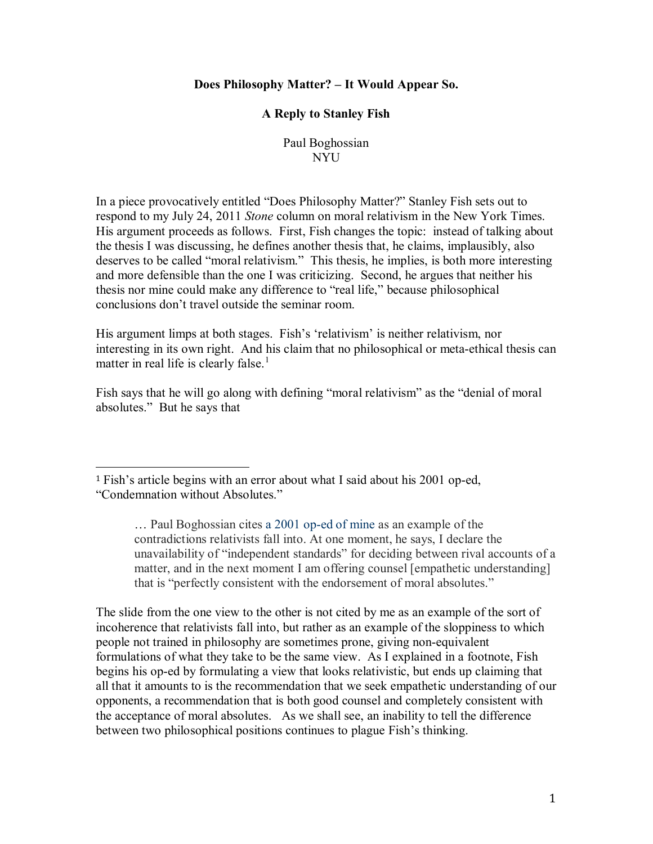## **Does Philosophy Matter? – It Would Appear So.**

## **A Reply to Stanley Fish**

Paul Boghossian **NYU** 

In a piece provocatively entitled "Does Philosophy Matter?" Stanley Fish sets out to respond to my July 24, 2011 *Stone* column on moral relativism in the New York Times. His argument proceeds as follows. First, Fish changes the topic: instead of talking about the thesis I was discussing, he defines another thesis that, he claims, implausibly, also deserves to be called "moral relativism." This thesis, he implies, is both more interesting and more defensible than the one I was criticizing. Second, he argues that neither his thesis nor mine could make any difference to "real life," because philosophical conclusions don't travel outside the seminar room.

His argument limps at both stages. Fish's 'relativism' is neither relativism, nor interesting in its own right. And his claim that no philosophical or meta-ethical thesis can matter in real life is clearly false.<sup>[1](#page-0-0)</sup>

Fish says that he will go along with defining "moral relativism" as the "denial of moral absolutes." But he says that

… Paul Boghossian cites [a 2001 op-ed of mine](http://www.nytimes.com/2001/10/15/opinion/condemnation-without-absolutes.html) as an example of the contradictions relativists fall into. At one moment, he says, I declare the unavailability of "independent standards" for deciding between rival accounts of a matter, and in the next moment I am offering counsel [empathetic understanding] that is "perfectly consistent with the endorsement of moral absolutes."

The slide from the one view to the other is not cited by me as an example of the sort of incoherence that relativists fall into, but rather as an example of the sloppiness to which people not trained in philosophy are sometimes prone, giving non-equivalent formulations of what they take to be the same view. As I explained in a footnote, Fish begins his op-ed by formulating a view that looks relativistic, but ends up claiming that all that it amounts to is the recommendation that we seek empathetic understanding of our opponents, a recommendation that is both good counsel and completely consistent with the acceptance of moral absolutes. As we shall see, an inability to tell the difference between two philosophical positions continues to plague Fish's thinking.

<span id="page-0-0"></span> <sup>1</sup> Fish's article begins with an error about what I said about his 2001 op-ed, "Condemnation without Absolutes."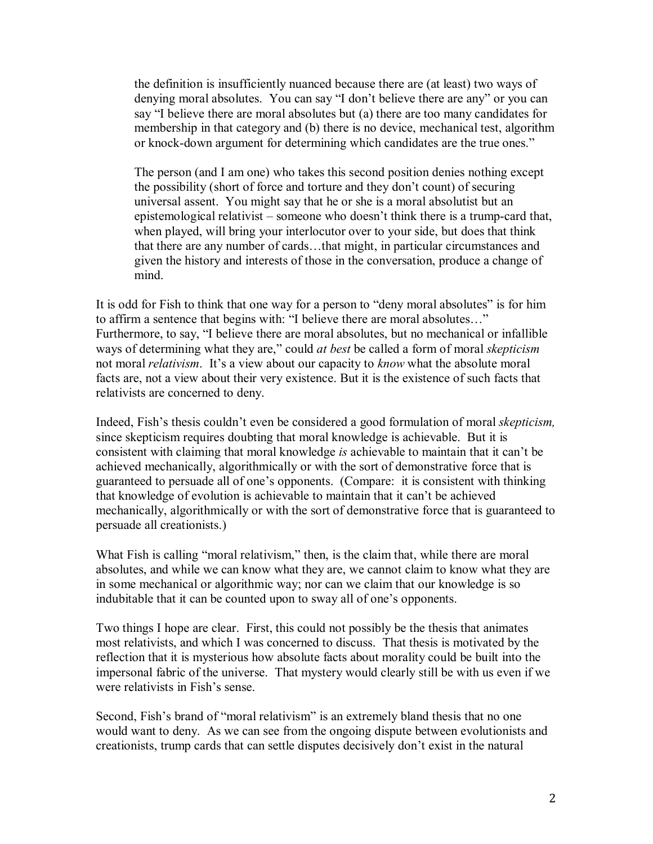the definition is insufficiently nuanced because there are (at least) two ways of denying moral absolutes. You can say "I don't believe there are any" or you can say "I believe there are moral absolutes but (a) there are too many candidates for membership in that category and (b) there is no device, mechanical test, algorithm or knock-down argument for determining which candidates are the true ones."

The person (and I am one) who takes this second position denies nothing except the possibility (short of force and torture and they don't count) of securing universal assent. You might say that he or she is a moral absolutist but an epistemological relativist – someone who doesn't think there is a trump-card that, when played, will bring your interlocutor over to your side, but does that think that there are any number of cards…that might, in particular circumstances and given the history and interests of those in the conversation, produce a change of mind.

It is odd for Fish to think that one way for a person to "deny moral absolutes" is for him to affirm a sentence that begins with: "I believe there are moral absolutes…" Furthermore, to say, "I believe there are moral absolutes, but no mechanical or infallible ways of determining what they are," could *at best* be called a form of moral *skepticism*  not moral *relativism*. It's a view about our capacity to *know* what the absolute moral facts are, not a view about their very existence. But it is the existence of such facts that relativists are concerned to deny.

Indeed, Fish's thesis couldn't even be considered a good formulation of moral *skepticism,* since skepticism requires doubting that moral knowledge is achievable. But it is consistent with claiming that moral knowledge *is* achievable to maintain that it can't be achieved mechanically, algorithmically or with the sort of demonstrative force that is guaranteed to persuade all of one's opponents. (Compare: it is consistent with thinking that knowledge of evolution is achievable to maintain that it can't be achieved mechanically, algorithmically or with the sort of demonstrative force that is guaranteed to persuade all creationists.)

What Fish is calling "moral relativism," then, is the claim that, while there are moral absolutes, and while we can know what they are, we cannot claim to know what they are in some mechanical or algorithmic way; nor can we claim that our knowledge is so indubitable that it can be counted upon to sway all of one's opponents.

Two things I hope are clear. First, this could not possibly be the thesis that animates most relativists, and which I was concerned to discuss. That thesis is motivated by the reflection that it is mysterious how absolute facts about morality could be built into the impersonal fabric of the universe. That mystery would clearly still be with us even if we were relativists in Fish's sense.

Second, Fish's brand of "moral relativism" is an extremely bland thesis that no one would want to deny. As we can see from the ongoing dispute between evolutionists and creationists, trump cards that can settle disputes decisively don't exist in the natural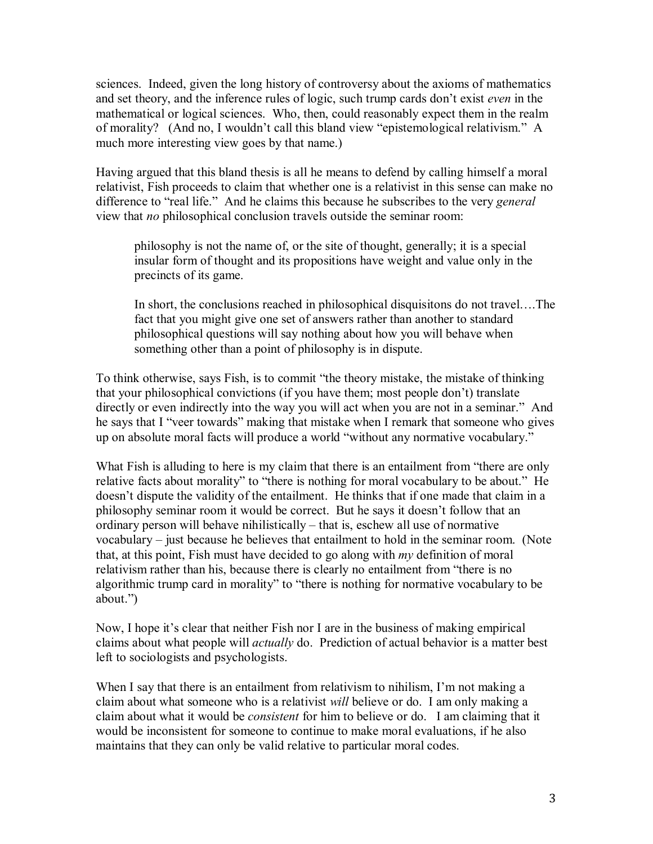sciences. Indeed, given the long history of controversy about the axioms of mathematics and set theory, and the inference rules of logic, such trump cards don't exist *even* in the mathematical or logical sciences. Who, then, could reasonably expect them in the realm of morality? (And no, I wouldn't call this bland view "epistemological relativism." A much more interesting view goes by that name.)

Having argued that this bland thesis is all he means to defend by calling himself a moral relativist, Fish proceeds to claim that whether one is a relativist in this sense can make no difference to "real life." And he claims this because he subscribes to the very *general* view that *no* philosophical conclusion travels outside the seminar room:

philosophy is not the name of, or the site of thought, generally; it is a special insular form of thought and its propositions have weight and value only in the precincts of its game.

In short, the conclusions reached in philosophical disquisitons do not travel….The fact that you might give one set of answers rather than another to standard philosophical questions will say nothing about how you will behave when something other than a point of philosophy is in dispute.

To think otherwise, says Fish, is to commit "the theory mistake, the mistake of thinking that your philosophical convictions (if you have them; most people don't) translate directly or even indirectly into the way you will act when you are not in a seminar." And he says that I "veer towards" making that mistake when I remark that someone who gives up on absolute moral facts will produce a world "without any normative vocabulary."

What Fish is alluding to here is my claim that there is an entailment from "there are only relative facts about morality" to "there is nothing for moral vocabulary to be about." He doesn't dispute the validity of the entailment. He thinks that if one made that claim in a philosophy seminar room it would be correct. But he says it doesn't follow that an ordinary person will behave nihilistically – that is, eschew all use of normative vocabulary – just because he believes that entailment to hold in the seminar room. (Note that, at this point, Fish must have decided to go along with *my* definition of moral relativism rather than his, because there is clearly no entailment from "there is no algorithmic trump card in morality" to "there is nothing for normative vocabulary to be about.")

Now, I hope it's clear that neither Fish nor I are in the business of making empirical claims about what people will *actually* do. Prediction of actual behavior is a matter best left to sociologists and psychologists.

When I say that there is an entailment from relativism to nihilism, I'm not making a claim about what someone who is a relativist *will* believe or do. I am only making a claim about what it would be *consistent* for him to believe or do. I am claiming that it would be inconsistent for someone to continue to make moral evaluations, if he also maintains that they can only be valid relative to particular moral codes.